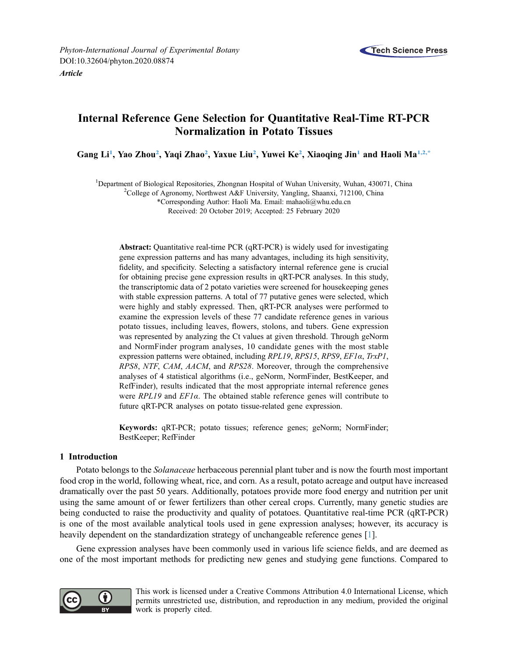

# Internal Reference Gene Selection for Quantitative Real-Time RT-PCR Normalization in Potato Tissues

<span id="page-0-0"></span>Gang Li<sup>[1](#page-0-0)</sup>, Yao Zhou<sup>[2](#page-0-1)</sup>, Yaqi Zhao<sup>2</sup>, Yaxue Liu<sup>2</sup>, Yuwei Ke<sup>2</sup>, Xiaoqing Jin<sup>1</sup> and Haoli Ma<sup>[1,](#page-0-0)[2,\\*](#page-0-1)</sup>

<span id="page-0-1"></span><sup>1</sup>Department of Biological Repositories, Zhongnan Hospital of Wuhan University, Wuhan, 430071, China  ${}^{2}$ College of Agronomy, Northwest A&E University, Vangling, Sheepxi, 712100, China

<sup>2</sup>College of Agronomy, Northwest A&F University, Yangling, Shaanxi, 712100, China

\*Corresponding Author: Haoli Ma. Email: mahaoli@whu.edu.cn Received: 20 October 2019; Accepted: 25 February 2020

Abstract: Quantitative real-time PCR (qRT-PCR) is widely used for investigating gene expression patterns and has many advantages, including its high sensitivity, fidelity, and specificity. Selecting a satisfactory internal reference gene is crucial for obtaining precise gene expression results in qRT-PCR analyses. In this study, the transcriptomic data of 2 potato varieties were screened for housekeeping genes with stable expression patterns. A total of 77 putative genes were selected, which were highly and stably expressed. Then, qRT-PCR analyses were performed to examine the expression levels of these 77 candidate reference genes in various potato tissues, including leaves, flowers, stolons, and tubers. Gene expression was represented by analyzing the Ct values at given threshold. Through geNorm and NormFinder program analyses, 10 candidate genes with the most stable expression patterns were obtained, including RPL19, RPS15, RPS9, EF1α, TrxP1, RPS8, NTF, CAM, AACM, and RPS28. Moreover, through the comprehensive analyses of 4 statistical algorithms (i.e., geNorm, NormFinder, BestKeeper, and RefFinder), results indicated that the most appropriate internal reference genes were  $RPL19$  and  $EFI\alpha$ . The obtained stable reference genes will contribute to future qRT-PCR analyses on potato tissue-related gene expression.

Keywords: qRT-PCR; potato tissues; reference genes; geNorm; NormFinder; BestKeeper; RefFinder

# 1 Introduction

Potato belongs to the Solanaceae herbaceous perennial plant tuber and is now the fourth most important food crop in the world, following wheat, rice, and corn. As a result, potato acreage and output have increased dramatically over the past 50 years. Additionally, potatoes provide more food energy and nutrition per unit using the same amount of or fewer fertilizers than other cereal crops. Currently, many genetic studies are being conducted to raise the productivity and quality of potatoes. Quantitative real-time PCR (qRT-PCR) is one of the most available analytical tools used in gene expression analyses; however, its accuracy is heavily dependent on the standardization strategy of unchangeable reference genes [\[1](#page-9-0)].

Gene expression analyses have been commonly used in various life science fields, and are deemed as one of the most important methods for predicting new genes and studying gene functions. Compared to



This work is licensed under a Creative Commons Attribution 4.0 International License, which permits unrestricted use, distribution, and reproduction in any medium, provided the original work is properly cited.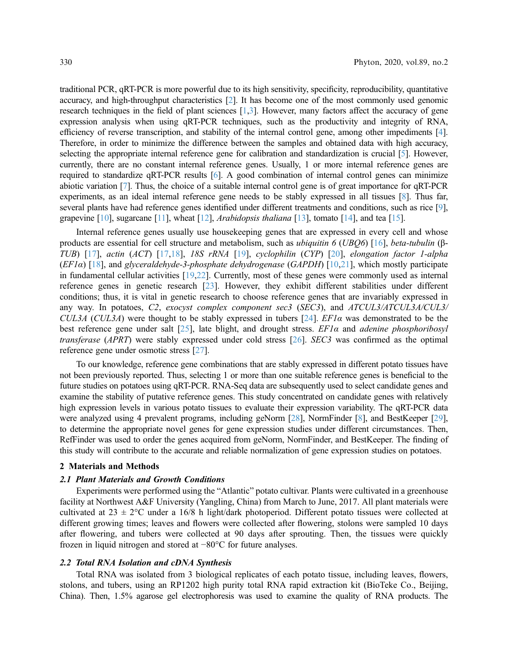traditional PCR, qRT-PCR is more powerful due to its high sensitivity, specificity, reproducibility, quantitative accuracy, and high-throughput characteristics [\[2\]](#page-9-1). It has become one of the most commonly used genomic research techniques in the field of plant sciences [\[1](#page-9-0)[,3\]](#page-9-2). However, many factors affect the accuracy of gene expression analysis when using qRT-PCR techniques, such as the productivity and integrity of RNA, efficiency of reverse transcription, and stability of the internal control gene, among other impediments [[4\]](#page-9-3). Therefore, in order to minimize the difference between the samples and obtained data with high accuracy, selecting the appropriate internal reference gene for calibration and standardization is crucial [\[5\]](#page-9-4). However, currently, there are no constant internal reference genes. Usually, 1 or more internal reference genes are required to standardize qRT-PCR results [\[6\]](#page-9-5). A good combination of internal control genes can minimize abiotic variation [\[7\]](#page-9-6). Thus, the choice of a suitable internal control gene is of great importance for qRT-PCR experiments, as an ideal internal reference gene needs to be stably expressed in all tissues [\[8\]](#page-10-0). Thus far, several plants have had reference genes identified under different treatments and conditions, such as rice [[9\]](#page-10-1), grapevine  $[10]$  $[10]$ , sugarcane  $[11]$  $[11]$ , wheat  $[12]$  $[12]$ , *Arabidopsis thaliana*  $[13]$ , tomato  $[14]$  $[14]$ , and tea  $[15]$ .

Internal reference genes usually use housekeeping genes that are expressed in every cell and whose products are essential for cell structure and metabolism, such as ubiquitin 6 (UBQ6) [[16\]](#page-10-8), beta-tubulin (β-TUB) [\[17](#page-10-9)], actin (ACT) [\[17](#page-10-9)[,18](#page-10-10)], 18S rRNA [[19\]](#page-10-11), cyclophilin (CYP) [\[20](#page-10-12)], elongation factor 1-alpha  $(EFI\alpha)$  [\[18](#page-10-10)], and glyceraldehyde-3-phosphate dehydrogenase (GAPDH) [\[10](#page-10-2),[21\]](#page-10-13), which mostly participate in fundamental cellular activities [[19](#page-10-11)[,22](#page-10-14)]. Currently, most of these genes were commonly used as internal reference genes in genetic research [[23\]](#page-10-15). However, they exhibit different stabilities under different conditions; thus, it is vital in genetic research to choose reference genes that are invariably expressed in any way. In potatoes, C2, exocyst complex component sec3 (SEC3), and ATCUL3/ATCUL3A/CUL3/ CUL3A (CUL3A) were thought to be stably expressed in tubers [[24\]](#page-11-0).  $EFl\alpha$  was demonstrated to be the best reference gene under salt [[25](#page-11-1)], late blight, and drought stress.  $EFi\alpha$  and *adenine phosphoribosyl transferase (APRT)* were stably expressed under cold stress  $[26]$  $[26]$ . *SEC3* was confirmed as the optimal reference gene under osmotic stress [[27](#page-11-3)].

To our knowledge, reference gene combinations that are stably expressed in different potato tissues have not been previously reported. Thus, selecting 1 or more than one suitable reference genes is beneficial to the future studies on potatoes using qRT-PCR. RNA-Seq data are subsequently used to select candidate genes and examine the stability of putative reference genes. This study concentrated on candidate genes with relatively high expression levels in various potato tissues to evaluate their expression variability. The qRT-PCR data were analyzed using 4 prevalent programs, including geNorm [\[28\]](#page-11-4), NormFinder [[8\]](#page-10-0), and BestKeeper [\[29\]](#page-11-5), to determine the appropriate novel genes for gene expression studies under different circumstances. Then, RefFinder was used to order the genes acquired from geNorm, NormFinder, and BestKeeper. The finding of this study will contribute to the accurate and reliable normalization of gene expression studies on potatoes.

### 2 Materials and Methods

#### 2.1 Plant Materials and Growth Conditions

Experiments were performed using the "Atlantic" potato cultivar. Plants were cultivated in a greenhouse facility at Northwest A&F University (Yangling, China) from March to June, 2017. All plant materials were cultivated at  $23 \pm 2$ °C under a 16/8 h light/dark photoperiod. Different potato tissues were collected at different growing times; leaves and flowers were collected after flowering, stolons were sampled 10 days after flowering, and tubers were collected at 90 days after sprouting. Then, the tissues were quickly frozen in liquid nitrogen and stored at −80°C for future analyses.

### 2.2 Total RNA Isolation and cDNA Synthesis

Total RNA was isolated from 3 biological replicates of each potato tissue, including leaves, flowers, stolons, and tubers, using an RP1202 high purity total RNA rapid extraction kit (BioTeke Co., Beijing, China). Then, 1.5% agarose gel electrophoresis was used to examine the quality of RNA products. The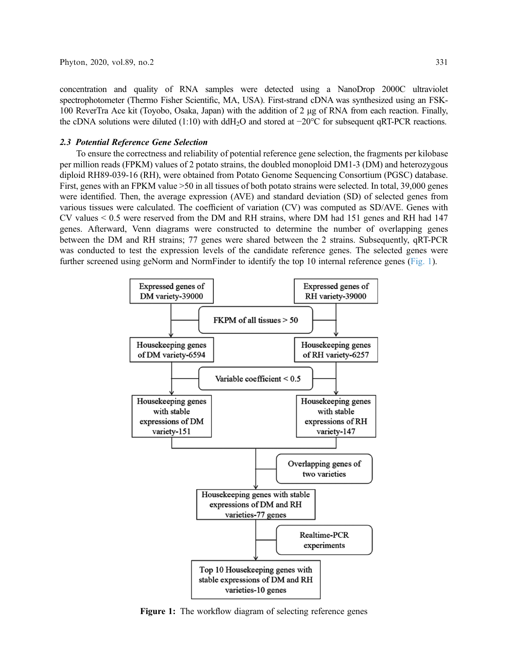concentration and quality of RNA samples were detected using a NanoDrop 2000C ultraviolet spectrophotometer (Thermo Fisher Scientific, MA, USA). First-strand cDNA was synthesized using an FSK-100 ReverTra Ace kit (Toyobo, Osaka, Japan) with the addition of 2 μg of RNA from each reaction. Finally, the cDNA solutions were diluted (1:10) with ddH2O and stored at −20°C for subsequent qRT-PCR reactions.

#### 2.3 Potential Reference Gene Selection

To ensure the correctness and reliability of potential reference gene selection, the fragments per kilobase per million reads (FPKM) values of 2 potato strains, the doubled monoploid DM1-3 (DM) and heterozygous diploid RH89-039-16 (RH), were obtained from Potato Genome Sequencing Consortium (PGSC) database. First, genes with an FPKM value >50 in all tissues of both potato strains were selected. In total, 39,000 genes were identified. Then, the average expression (AVE) and standard deviation (SD) of selected genes from various tissues were calculated. The coefficient of variation (CV) was computed as SD/AVE. Genes with CV values < 0.5 were reserved from the DM and RH strains, where DM had 151 genes and RH had 147 genes. Afterward, Venn diagrams were constructed to determine the number of overlapping genes between the DM and RH strains; 77 genes were shared between the 2 strains. Subsequently, qRT-PCR was conducted to test the expression levels of the candidate reference genes. The selected genes were further screened using geNorm and NormFinder to identify the top 10 internal reference genes [\(Fig. 1](#page-2-0)).

<span id="page-2-0"></span>

Figure 1: The workflow diagram of selecting reference genes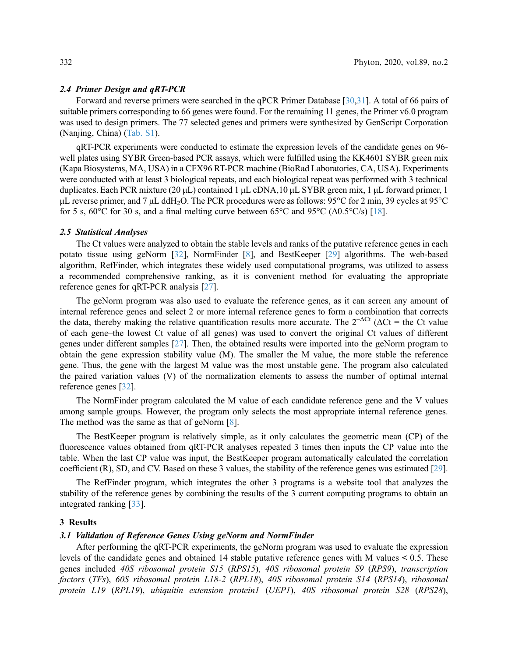#### 2.4 Primer Design and qRT-PCR

Forward and reverse primers were searched in the qPCR Primer Database [[30](#page-11-6)[,31](#page-11-7)]. A total of 66 pairs of suitable primers corresponding to 66 genes were found. For the remaining 11 genes, the Primer v6.0 program was used to design primers. The 77 selected genes and primers were synthesized by GenScript Corporation (Nanjing, China) ([Tab. S1\)](#page-12-0).

qRT-PCR experiments were conducted to estimate the expression levels of the candidate genes on 96 well plates using SYBR Green-based PCR assays, which were fulfilled using the KK4601 SYBR green mix (Kapa Biosystems, MA, USA) in a CFX96 RT-PCR machine (BioRad Laboratories, CA, USA). Experiments were conducted with at least 3 biological repeats, and each biological repeat was performed with 3 technical duplicates. Each PCR mixture (20 μL) contained 1 μL cDNA,10 μL SYBR green mix, 1 μL forward primer, 1 μL reverse primer, and 7 μL ddH<sub>2</sub>O. The PCR procedures were as follows: 95°C for 2 min, 39 cycles at 95°C for 5 s,  $60^{\circ}$ C for 30 s, and a final melting curve between  $65^{\circ}$ C and  $95^{\circ}$ C ( $\Delta 0.5^{\circ}$ C/s) [[18\]](#page-10-10).

### 2.5 Statistical Analyses

The Ct values were analyzed to obtain the stable levels and ranks of the putative reference genes in each potato tissue using geNorm [\[32](#page-11-8)], NormFinder [\[8\]](#page-10-0), and BestKeeper [[29\]](#page-11-5) algorithms. The web-based algorithm, RefFinder, which integrates these widely used computational programs, was utilized to assess a recommended comprehensive ranking, as it is convenient method for evaluating the appropriate reference genes for qRT-PCR analysis [\[27](#page-11-3)].

The geNorm program was also used to evaluate the reference genes, as it can screen any amount of internal reference genes and select 2 or more internal reference genes to form a combination that corrects the data, thereby making the relative quantification results more accurate. The  $2^{-\Delta Ct}$  ( $\Delta Ct$  = the Ct value of each gene–the lowest Ct value of all genes) was used to convert the original Ct values of different genes under different samples [[27](#page-11-3)]. Then, the obtained results were imported into the geNorm program to obtain the gene expression stability value (M). The smaller the M value, the more stable the reference gene. Thus, the gene with the largest M value was the most unstable gene. The program also calculated the paired variation values (V) of the normalization elements to assess the number of optimal internal reference genes [[32\]](#page-11-8).

The NormFinder program calculated the M value of each candidate reference gene and the V values among sample groups. However, the program only selects the most appropriate internal reference genes. The method was the same as that of geNorm [[8](#page-10-0)].

The BestKeeper program is relatively simple, as it only calculates the geometric mean (CP) of the fluorescence values obtained from qRT-PCR analyses repeated 3 times then inputs the CP value into the table. When the last CP value was input, the BestKeeper program automatically calculated the correlation coefficient (R), SD, and CV. Based on these 3 values, the stability of the reference genes was estimated [[29\]](#page-11-5).

The RefFinder program, which integrates the other 3 programs is a website tool that analyzes the stability of the reference genes by combining the results of the 3 current computing programs to obtain an integrated ranking [[33](#page-11-9)].

## 3 Results

### 3.1 Validation of Reference Genes Using geNorm and NormFinder

After performing the qRT-PCR experiments, the geNorm program was used to evaluate the expression levels of the candidate genes and obtained 14 stable putative reference genes with M values < 0.5. These genes included 40S ribosomal protein S15 (RPS15), 40S ribosomal protein S9 (RPS9), transcription factors (TFs), 60S ribosomal protein L18-2 (RPL18), 40S ribosomal protein S14 (RPS14), ribosomal protein L19 (RPL19), ubiquitin extension protein1 (UEP1), 40S ribosomal protein S28 (RPS28),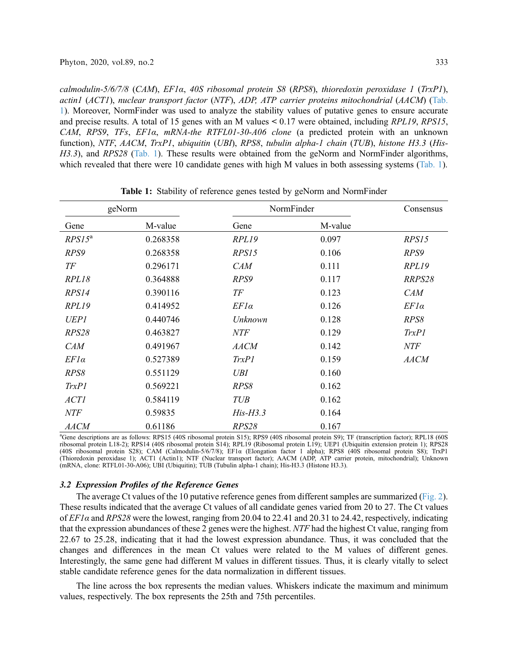calmodulin-5/6/7/8 (CAM), EF1α, 40S ribosomal protein S8 (RPS8), thioredoxin peroxidase 1 (TrxP1), actin1 (ACT1), nuclear transport factor (NTF), ADP, ATP carrier proteins mitochondrial (AACM) [\(Tab.](#page-4-0) [1](#page-4-0)). Moreover, NormFinder was used to analyze the stability values of putative genes to ensure accurate and precise results. A total of 15 genes with an M values  $\leq$  0.17 were obtained, including *RPL19*, *RPS15*, CAM, RPS9, TFs, EF1α, mRNA-the RTFL01-30-A06 clone (a predicted protein with an unknown function), NTF, AACM, TrxP1, ubiquitin (UBI), RPS8, tubulin alpha-1 chain (TUB), histone H3.3 (His-H3.3), and RPS28 ([Tab. 1](#page-4-0)). These results were obtained from the geNorm and NormFinder algorithms, which revealed that there were 10 candidate genes with high M values in both assessing systems ([Tab. 1](#page-4-0)).

<span id="page-4-0"></span>

| geNorm      |          | NormFinder  |         | Consensus   |
|-------------|----------|-------------|---------|-------------|
| Gene        | M-value  | Gene        | M-value |             |
| $RPSI5^a$   | 0.268358 | RPL19       | 0.097   | RPS15       |
| RPS9        | 0.268358 | RPS15       | 0.106   | RPS9        |
| TF          | 0.296171 | <b>CAM</b>  | 0.111   | RPL19       |
| RPL18       | 0.364888 | RPS9        | 0.117   | RRPS28      |
| RPS14       | 0.390116 | TF          | 0.123   | <b>CAM</b>  |
| RPL19       | 0.414952 | $EFI\alpha$ | 0.126   | $EFI\alpha$ |
| <b>UEP1</b> | 0.440746 | Unknown     | 0.128   | RPS8        |
| RPS28       | 0.463827 | <b>NTF</b>  | 0.129   | TrxPI       |
| <b>CAM</b>  | 0.491967 | <b>AACM</b> | 0.142   | <b>NTF</b>  |
| $EFI\alpha$ | 0.527389 | TrxPI       | 0.159   | <b>AACM</b> |
| RPS8        | 0.551129 | UBI         | 0.160   |             |
| TrxPI       | 0.569221 | RPS8        | 0.162   |             |
| <b>ACT1</b> | 0.584119 | <b>TUB</b>  | 0.162   |             |
| NTF         | 0.59835  | $His-H3.3$  | 0.164   |             |
| <i>AACM</i> | 0.61186  | RPS28       | 0.167   |             |

Table 1: Stability of reference genes tested by geNorm and NormFinder

a Gene descriptions are as follows: RPS15 (40S ribosomal protein S15); RPS9 (40S ribosomal protein S9); TF (transcription factor); RPL18 (60S ribosomal protein L18-2); RPS14 (40S ribosomal protein S14); RPL19 (Ribosomal protein L19); UEP1 (Ubiquitin extension protein 1); RPS28 (40S ribosomal protein S28); CAM (Calmodulin-5/6/7/8); EF1α (Elongation factor 1 alpha); RPS8 (40S ribosomal protein S8); TrxP1 (Thioredoxin peroxidase 1); ACT1 (Actin1); NTF (Nuclear transport factor); AACM (ADP, ATP carrier protein, mitochondrial); Unknown (mRNA, clone: RTFL01-30-A06); UBI (Ubiquitin); TUB (Tubulin alpha-1 chain); His-H3.3 (Histone H3.3).

# 3.2 Expression Profiles of the Reference Genes

The average Ct values of the 10 putative reference genes from different samples are summarized ([Fig. 2\)](#page-5-0). These results indicated that the average Ct values of all candidate genes varied from 20 to 27. The Ct values of EF1α and RPS28 were the lowest, ranging from 20.04 to 22.41 and 20.31 to 24.42, respectively, indicating that the expression abundances of these 2 genes were the highest. NTF had the highest Ct value, ranging from 22.67 to 25.28, indicating that it had the lowest expression abundance. Thus, it was concluded that the changes and differences in the mean Ct values were related to the M values of different genes. Interestingly, the same gene had different M values in different tissues. Thus, it is clearly vitally to select stable candidate reference genes for the data normalization in different tissues.

The line across the box represents the median values. Whiskers indicate the maximum and minimum values, respectively. The box represents the 25th and 75th percentiles.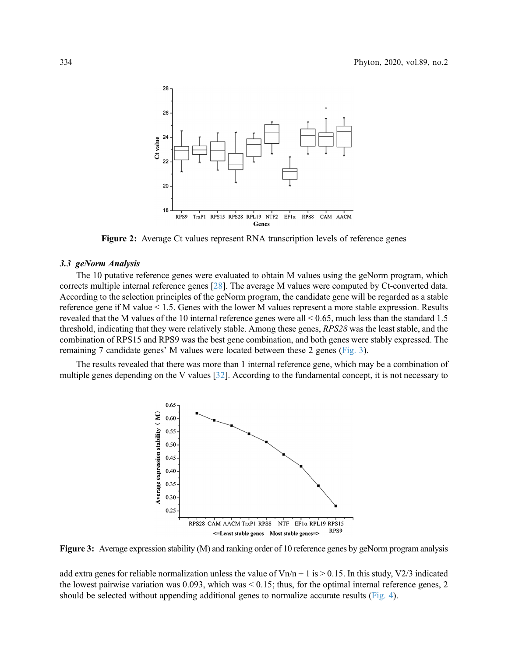<span id="page-5-0"></span>

Figure 2: Average Ct values represent RNA transcription levels of reference genes

### 3.3 geNorm Analysis

The 10 putative reference genes were evaluated to obtain M values using the geNorm program, which corrects multiple internal reference genes [\[28](#page-11-4)]. The average M values were computed by Ct-converted data. According to the selection principles of the geNorm program, the candidate gene will be regarded as a stable reference gene if M value < 1.5. Genes with the lower M values represent a more stable expression. Results revealed that the M values of the 10 internal reference genes were all < 0.65, much less than the standard 1.5 threshold, indicating that they were relatively stable. Among these genes, RPS28 was the least stable, and the combination of RPS15 and RPS9 was the best gene combination, and both genes were stably expressed. The remaining 7 candidate genes' M values were located between these 2 genes [\(Fig. 3](#page-5-1)).

<span id="page-5-1"></span>The results revealed that there was more than 1 internal reference gene, which may be a combination of multiple genes depending on the V values [\[32](#page-11-8)]. According to the fundamental concept, it is not necessary to



Figure 3: Average expression stability (M) and ranking order of 10 reference genes by geNorm program analysis

add extra genes for reliable normalization unless the value of  $Vn/n + 1$  is  $> 0.15$ . In this study, V2/3 indicated the lowest pairwise variation was  $0.093$ , which was  $\leq 0.15$ ; thus, for the optimal internal reference genes, 2 should be selected without appending additional genes to normalize accurate results [\(Fig. 4](#page-6-0)).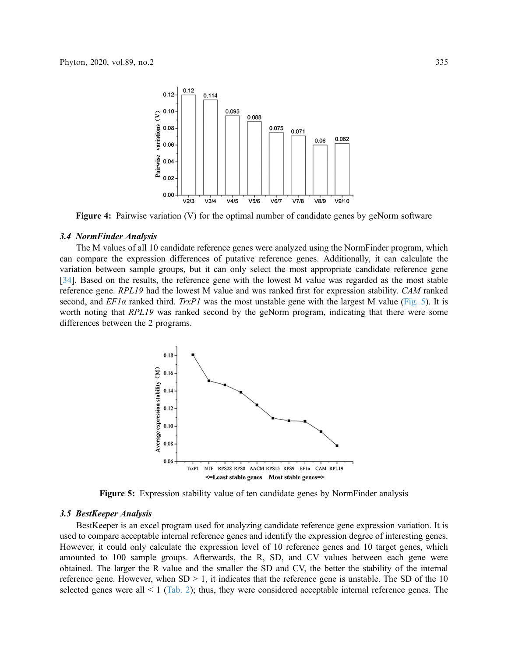<span id="page-6-0"></span>

Figure 4: Pairwise variation (V) for the optimal number of candidate genes by geNorm software

#### 3.4 NormFinder Analysis

The M values of all 10 candidate reference genes were analyzed using the NormFinder program, which can compare the expression differences of putative reference genes. Additionally, it can calculate the variation between sample groups, but it can only select the most appropriate candidate reference gene [[34](#page-11-10)]. Based on the results, the reference gene with the lowest M value was regarded as the most stable reference gene. RPL19 had the lowest M value and was ranked first for expression stability. CAM ranked second, and  $EFI\alpha$  ranked third. TrxP1 was the most unstable gene with the largest M value ([Fig. 5](#page-6-1)). It is worth noting that RPL19 was ranked second by the geNorm program, indicating that there were some differences between the 2 programs.

<span id="page-6-1"></span>

Figure 5: Expression stability value of ten candidate genes by NormFinder analysis

### 3.5 BestKeeper Analysis

BestKeeper is an excel program used for analyzing candidate reference gene expression variation. It is used to compare acceptable internal reference genes and identify the expression degree of interesting genes. However, it could only calculate the expression level of 10 reference genes and 10 target genes, which amounted to 100 sample groups. Afterwards, the R, SD, and CV values between each gene were obtained. The larger the R value and the smaller the SD and CV, the better the stability of the internal reference gene. However, when  $SD > 1$ , it indicates that the reference gene is unstable. The SD of the 10 selected genes were all  $\leq 1$  [\(Tab. 2](#page-7-0)); thus, they were considered acceptable internal reference genes. The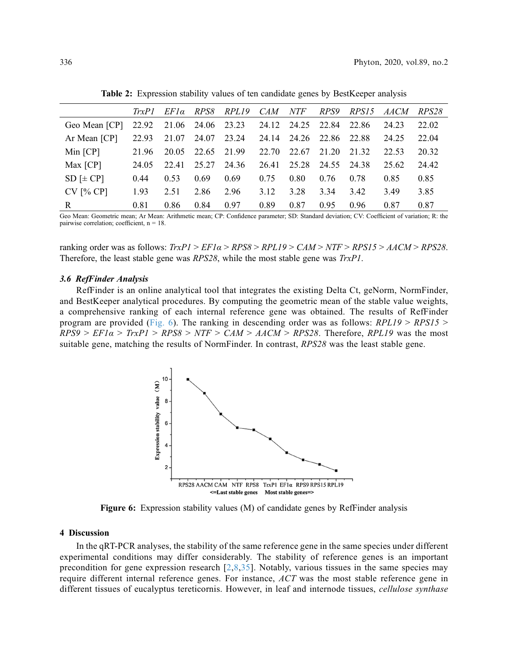<span id="page-7-0"></span>

|                   | TrxPI | $EF1\alpha$             | RPS8              | RPL19       | <i>CAM</i> | NTF               | RPS9                    | RPS15 | AACM  | RPS28 |
|-------------------|-------|-------------------------|-------------------|-------------|------------|-------------------|-------------------------|-------|-------|-------|
| Geo Mean [CP]     |       | 22.92 21.06 24.06 23.23 |                   |             |            | 24.12 24.25 22.84 |                         | 22.86 | 24.23 | 22.02 |
| Ar Mean [CP]      | 22.93 | 21.07                   |                   | 24.07 23.24 |            |                   | 24.14 24.26 22.86 22.88 |       | 24.25 | 22.04 |
| Min [CP]          | 21.96 |                         | 20.05 22.65 21.99 |             | 22.70      | 22.67             | 21.20                   | 21.32 | 22.53 | 20.32 |
| Max [CP]          | 24.05 | 22.41                   | 25.27             | 24.36       | 26.41      |                   | 25.28 24.55 24.38       |       | 25.62 | 24.42 |
| $SD$ [ $\pm CP$ ] | 0.44  | 0.53                    | 0.69              | 0.69        | 0.75       | 0.80              | 0.76                    | 0.78  | 0.85  | 0.85  |
| $CV$ [% $CP$ ]    | 1.93  | 2.51                    | 2.86              | 2.96        | 3.12       | 3.28              | 3.34                    | 3.42  | 3.49  | 3.85  |
| R                 | 0.81  | 0.86                    | 0.84              | 0.97        | 0.89       | 0.87              | 0.95                    | 0.96  | 0.87  | 0.87  |

Table 2: Expression stability values of ten candidate genes by BestKeeper analysis

Geo Mean: Geometric mean; Ar Mean: Arithmetic mean; CP: Confidence parameter; SD: Standard deviation; CV: Coefficient of variation; R: the pairwise correlation; coefficient, n = 18.

ranking order was as follows:  $TrxPI > EF1\alpha > RPS8 > RPL19 > CAM > NTF > RPS15 > AACM > RPS28$ . Therefore, the least stable gene was RPS28, while the most stable gene was TrxP1.

### 3.6 RefFinder Analysis

<span id="page-7-1"></span>RefFinder is an online analytical tool that integrates the existing Delta Ct, geNorm, NormFinder, and BestKeeper analytical procedures. By computing the geometric mean of the stable value weights, a comprehensive ranking of each internal reference gene was obtained. The results of RefFinder program are provided ([Fig. 6\)](#page-7-1). The ranking in descending order was as follows:  $RPL19 > RPS15 >$  $RPS9 > EFla > TrxPI > RPS8 > NTF > CAM > AACM > RPS28$ . Therefore,  $RPL19$  was the most suitable gene, matching the results of NormFinder. In contrast, RPS28 was the least stable gene.



Figure 6: Expression stability values (M) of candidate genes by RefFinder analysis

### 4 Discussion

In the qRT-PCR analyses, the stability of the same reference gene in the same species under different experimental conditions may differ considerably. The stability of reference genes is an important precondition for gene expression research  $[2,8,35]$  $[2,8,35]$  $[2,8,35]$  $[2,8,35]$  $[2,8,35]$ . Notably, various tissues in the same species may require different internal reference genes. For instance, ACT was the most stable reference gene in different tissues of eucalyptus tereticornis. However, in leaf and internode tissues, *cellulose synthase*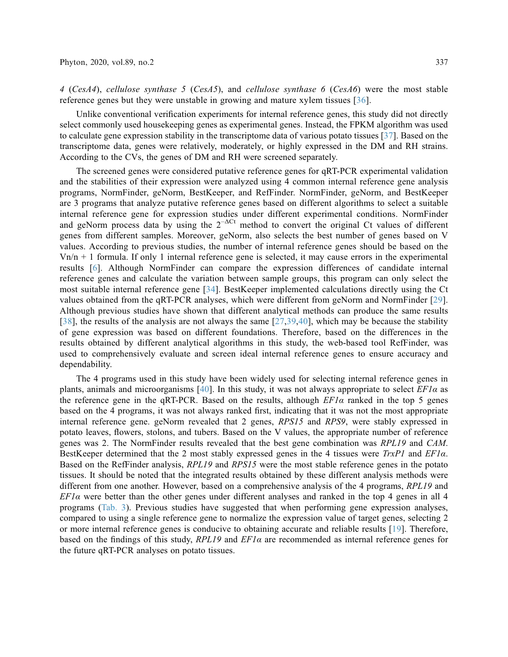4 (CesA4), cellulose synthase 5 (CesA5), and cellulose synthase 6 (CesA6) were the most stable reference genes but they were unstable in growing and mature xylem tissues [[36](#page-11-12)].

Unlike conventional verification experiments for internal reference genes, this study did not directly select commonly used housekeeping genes as experimental genes. Instead, the FPKM algorithm was used to calculate gene expression stability in the transcriptome data of various potato tissues [[37](#page-11-13)]. Based on the transcriptome data, genes were relatively, moderately, or highly expressed in the DM and RH strains. According to the CVs, the genes of DM and RH were screened separately.

The screened genes were considered putative reference genes for qRT-PCR experimental validation and the stabilities of their expression were analyzed using 4 common internal reference gene analysis programs, NormFinder, geNorm, BestKeeper, and RefFinder. NormFinder, geNorm, and BestKeeper are 3 programs that analyze putative reference genes based on different algorithms to select a suitable internal reference gene for expression studies under different experimental conditions. NormFinder and geNorm process data by using the  $2^{-\Delta Ct}$  method to convert the original Ct values of different genes from different samples. Moreover, geNorm, also selects the best number of genes based on V values. According to previous studies, the number of internal reference genes should be based on the  $V_n/n + 1$  formula. If only 1 internal reference gene is selected, it may cause errors in the experimental results [[6](#page-9-5)]. Although NormFinder can compare the expression differences of candidate internal reference genes and calculate the variation between sample groups, this program can only select the most suitable internal reference gene [\[34\]](#page-11-10). BestKeeper implemented calculations directly using the Ct values obtained from the qRT-PCR analyses, which were different from geNorm and NormFinder [\[29\]](#page-11-5). Although previous studies have shown that different analytical methods can produce the same results [[38\]](#page-11-14), the results of the analysis are not always the same [[27,](#page-11-3)[39](#page-11-15),[40](#page-11-16)], which may be because the stability of gene expression was based on different foundations. Therefore, based on the differences in the results obtained by different analytical algorithms in this study, the web-based tool RefFinder, was used to comprehensively evaluate and screen ideal internal reference genes to ensure accuracy and dependability.

The 4 programs used in this study have been widely used for selecting internal reference genes in plants, animals and microorganisms [[40](#page-11-16)]. In this study, it was not always appropriate to select  $EFla$  as the reference gene in the qRT-PCR. Based on the results, although  $EFI\alpha$  ranked in the top 5 genes based on the 4 programs, it was not always ranked first, indicating that it was not the most appropriate internal reference gene. geNorm revealed that 2 genes, RPS15 and RPS9, were stably expressed in potato leaves, flowers, stolons, and tubers. Based on the V values, the appropriate number of reference genes was 2. The NormFinder results revealed that the best gene combination was RPL19 and CAM. BestKeeper determined that the 2 most stably expressed genes in the 4 tissues were TrxP1 and EF1a. Based on the RefFinder analysis, RPL19 and RPS15 were the most stable reference genes in the potato tissues. It should be noted that the integrated results obtained by these different analysis methods were different from one another. However, based on a comprehensive analysis of the 4 programs, RPL19 and  $EFA$  were better than the other genes under different analyses and ranked in the top 4 genes in all 4 programs [\(Tab. 3\)](#page-9-7). Previous studies have suggested that when performing gene expression analyses, compared to using a single reference gene to normalize the expression value of target genes, selecting 2 or more internal reference genes is conducive to obtaining accurate and reliable results [[19\]](#page-10-11). Therefore, based on the findings of this study,  $RPL19$  and  $EFI\alpha$  are recommended as internal reference genes for the future qRT-PCR analyses on potato tissues.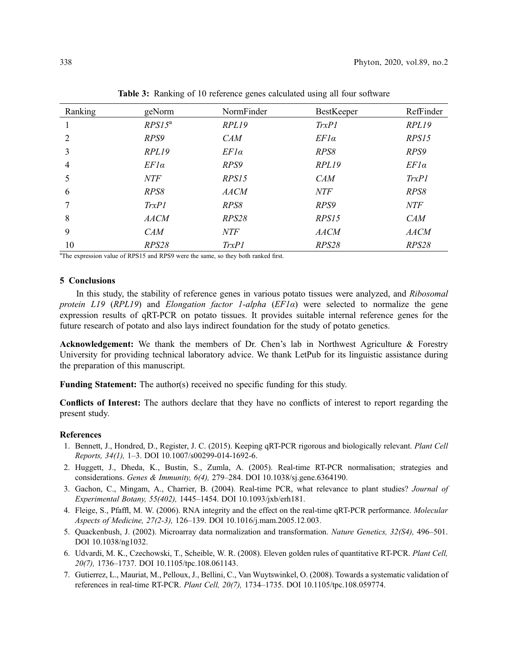<span id="page-9-7"></span>

| Ranking | geNorm      | NormFinder  | <b>BestKeeper</b> | RefFinder   |
|---------|-------------|-------------|-------------------|-------------|
|         | $RPSI5^a$   | RPL19       | TrxPI             | RPL19       |
| 2       | RPS9        | <b>CAM</b>  | $EF1\alpha$       | RPS15       |
| 3       | RPL19       | $EF1\alpha$ | RPS8              | RPS9        |
| 4       | $EFI\alpha$ | RPS9        | RPL19             | $EFI\alpha$ |
| 5       | <b>NTF</b>  | RPS15       | <b>CAM</b>        | TrxPI       |
| 6       | RPS8        | <i>AACM</i> | <b>NTF</b>        | RPS8        |
|         | TrxPI       | RPS8        | RPS9              | <b>NTF</b>  |
| 8       | <b>AACM</b> | RPS28       | RPS15             | <b>CAM</b>  |
| 9       | <b>CAM</b>  | <b>NTF</b>  | <b>AACM</b>       | <b>AACM</b> |
| 10      | RPS28       | TrxPI       | RPS28             | RPS28       |

Table 3: Ranking of 10 reference genes calculated using all four software

<sup>a</sup>The expression value of RPS15 and RPS9 were the same, so they both ranked first.

# 5 Conclusions

In this study, the stability of reference genes in various potato tissues were analyzed, and Ribosomal protein L19 (RPL19) and Elongation factor 1-alpha ( $EFi\alpha$ ) were selected to normalize the gene expression results of qRT-PCR on potato tissues. It provides suitable internal reference genes for the future research of potato and also lays indirect foundation for the study of potato genetics.

Acknowledgement: We thank the members of Dr. Chen's lab in Northwest Agriculture & Forestry University for providing technical laboratory advice. We thank LetPub for its linguistic assistance during the preparation of this manuscript.

Funding Statement: The author(s) received no specific funding for this study.

Conflicts of Interest: The authors declare that they have no conflicts of interest to report regarding the present study.

### References

- <span id="page-9-0"></span>1. Bennett, J., Hondred, D., Register, J. C. (2015). Keeping qRT-PCR rigorous and biologically relevant. Plant Cell Reports, 34(1), 1–3. DOI [10.1007/s00299-014-1692-6](http://dx.doi.org/10.1007/s00299-014-1692-6).
- <span id="page-9-1"></span>2. Huggett, J., Dheda, K., Bustin, S., Zumla, A. (2005). Real-time RT-PCR normalisation; strategies and considerations. Genes & Immunity, 6(4), 279–284. DOI [10.1038/sj.gene.6364190.](http://dx.doi.org/10.1038/sj.gene.6364190)
- <span id="page-9-2"></span>3. Gachon, C., Mingam, A., Charrier, B. (2004). Real-time PCR, what relevance to plant studies? Journal of Experimental Botany, 55(402), 1445–1454. DOI [10.1093/jxb/erh181.](http://dx.doi.org/10.1093/jxb/erh181)
- <span id="page-9-3"></span>4. Fleige, S., Pfaffl, M. W. (2006). RNA integrity and the effect on the real-time qRT-PCR performance. Molecular Aspects of Medicine, 27(2-3), 126–139. DOI [10.1016/j.mam.2005.12.003](http://dx.doi.org/10.1016/j.mam.2005.12.003).
- <span id="page-9-4"></span>5. Quackenbush, J. (2002). Microarray data normalization and transformation. Nature Genetics, 32(S4), 496–501. DOI [10.1038/ng1032](http://dx.doi.org/10.1038/ng1032).
- <span id="page-9-5"></span>6. Udvardi, M. K., Czechowski, T., Scheible, W. R. (2008). Eleven golden rules of quantitative RT-PCR. Plant Cell, 20(7), 1736–1737. DOI [10.1105/tpc.108.061143.](http://dx.doi.org/10.1105/tpc.108.061143)
- <span id="page-9-6"></span>7. Gutierrez, L., Mauriat, M., Pelloux, J., Bellini, C., Van Wuytswinkel, O. (2008). Towards a systematic validation of references in real-time RT-PCR. Plant Cell, 20(7), 1734–1735. DOI [10.1105/tpc.108.059774.](http://dx.doi.org/10.1105/tpc.108.059774)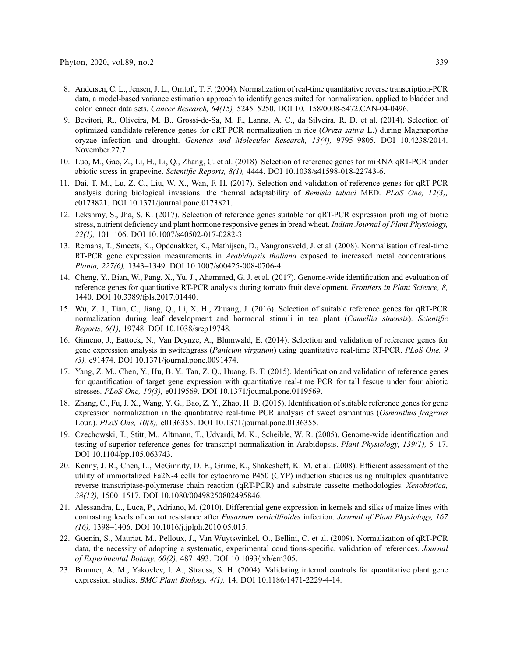- <span id="page-10-0"></span>8. Andersen, C. L., Jensen, J. L., Orntoft, T. F. (2004). Normalization of real-time quantitative reverse transcription-PCR data, a model-based variance estimation approach to identify genes suited for normalization, applied to bladder and colon cancer data sets. Cancer Research, 64(15), 5245–5250. DOI [10.1158/0008-5472.CAN-04-0496](http://dx.doi.org/10.1158/0008-5472.CAN-04-0496).
- <span id="page-10-1"></span>9. Bevitori, R., Oliveira, M. B., Grossi-de-Sa, M. F., Lanna, A. C., da Silveira, R. D. et al. (2014). Selection of optimized candidate reference genes for qRT-PCR normalization in rice (Oryza sativa L.) during Magnaporthe oryzae infection and drought. Genetics and Molecular Research, 13(4), 9795–9805. DOI [10.4238/2014.](http://dx.doi.org/10.4238/2014.November.27.7) [November.27.7.](http://dx.doi.org/10.4238/2014.November.27.7)
- <span id="page-10-2"></span>10. Luo, M., Gao, Z., Li, H., Li, Q., Zhang, C. et al. (2018). Selection of reference genes for miRNA qRT-PCR under abiotic stress in grapevine. Scientific Reports, 8(1), 4444. DOI [10.1038/s41598-018-22743-6](http://dx.doi.org/10.1038/s41598-018-22743-6).
- <span id="page-10-3"></span>11. Dai, T. M., Lu, Z. C., Liu, W. X., Wan, F. H. (2017). Selection and validation of reference genes for qRT-PCR analysis during biological invasions: the thermal adaptability of *Bemisia tabaci* MED. PLoS One, 12(3), e0173821. DOI [10.1371/journal.pone.0173821.](http://dx.doi.org/10.1371/journal.pone.0173821)
- <span id="page-10-4"></span>12. Lekshmy, S., Jha, S. K. (2017). Selection of reference genes suitable for qRT-PCR expression profiling of biotic stress, nutrient deficiency and plant hormone responsive genes in bread wheat. Indian Journal of Plant Physiology, 22(1), 101–106. DOI [10.1007/s40502-017-0282-3.](http://dx.doi.org/10.1007/s40502-017-0282-3)
- <span id="page-10-5"></span>13. Remans, T., Smeets, K., Opdenakker, K., Mathijsen, D., Vangronsveld, J. et al. (2008). Normalisation of real-time RT-PCR gene expression measurements in Arabidopsis thaliana exposed to increased metal concentrations. Planta, 227(6), 1343–1349. DOI [10.1007/s00425-008-0706-4.](http://dx.doi.org/10.1007/s00425-008-0706-4)
- <span id="page-10-6"></span>14. Cheng, Y., Bian, W., Pang, X., Yu, J., Ahammed, G. J. et al. (2017). Genome-wide identification and evaluation of reference genes for quantitative RT-PCR analysis during tomato fruit development. Frontiers in Plant Science, 8, 1440. DOI [10.3389/fpls.2017.01440](http://dx.doi.org/10.3389/fpls.2017.01440).
- <span id="page-10-7"></span>15. Wu, Z. J., Tian, C., Jiang, Q., Li, X. H., Zhuang, J. (2016). Selection of suitable reference genes for qRT-PCR normalization during leaf development and hormonal stimuli in tea plant (Camellia sinensis). Scientific Reports, 6(1), 19748. DOI [10.1038/srep19748](http://dx.doi.org/10.1038/srep19748).
- <span id="page-10-8"></span>16. Gimeno, J., Eattock, N., Van Deynze, A., Blumwald, E. (2014). Selection and validation of reference genes for gene expression analysis in switchgrass (*Panicum virgatum*) using quantitative real-time RT-PCR. *PLoS One*, 9 (3), e91474. DOI [10.1371/journal.pone.0091474](http://dx.doi.org/10.1371/journal.pone.0091474).
- <span id="page-10-9"></span>17. Yang, Z. M., Chen, Y., Hu, B. Y., Tan, Z. Q., Huang, B. T. (2015). Identification and validation of reference genes for quantification of target gene expression with quantitative real-time PCR for tall fescue under four abiotic stresses. PLoS One, 10(3), e0119569. DOI [10.1371/journal.pone.0119569.](http://dx.doi.org/10.1371/journal.pone.0119569)
- <span id="page-10-10"></span>18. Zhang, C., Fu, J. X., Wang, Y. G., Bao, Z. Y., Zhao, H. B. (2015). Identification of suitable reference genes for gene expression normalization in the quantitative real-time PCR analysis of sweet osmanthus (Osmanthus fragrans Lour.). PLoS One, 10(8), e0136355. DOI [10.1371/journal.pone.0136355.](http://dx.doi.org/10.1371/journal.pone.0136355)
- <span id="page-10-11"></span>19. Czechowski, T., Stitt, M., Altmann, T., Udvardi, M. K., Scheible, W. R. (2005). Genome-wide identification and testing of superior reference genes for transcript normalization in Arabidopsis. Plant Physiology, 139(1), 5–17. DOI [10.1104/pp.105.063743.](http://dx.doi.org/10.1104/pp.105.063743)
- <span id="page-10-12"></span>20. Kenny, J. R., Chen, L., McGinnity, D. F., Grime, K., Shakesheff, K. M. et al. (2008). Efficient assessment of the utility of immortalized Fa2N-4 cells for cytochrome P450 (CYP) induction studies using multiplex quantitative reverse transcriptase-polymerase chain reaction (qRT-PCR) and substrate cassette methodologies. Xenobiotica, 38(12), 1500–1517. DOI [10.1080/00498250802495846](http://dx.doi.org/10.1080/00498250802495846).
- <span id="page-10-13"></span>21. Alessandra, L., Luca, P., Adriano, M. (2010). Differential gene expression in kernels and silks of maize lines with contrasting levels of ear rot resistance after Fusarium verticillioides infection. Journal of Plant Physiology, 167 (16), 1398–1406. DOI [10.1016/j.jplph.2010.05.015](http://dx.doi.org/10.1016/j.jplph.2010.05.015).
- <span id="page-10-14"></span>22. Guenin, S., Mauriat, M., Pelloux, J., Van Wuytswinkel, O., Bellini, C. et al. (2009). Normalization of qRT-PCR data, the necessity of adopting a systematic, experimental conditions-specific, validation of references. Journal of Experimental Botany, 60(2), 487–493. DOI [10.1093/jxb/ern305](http://dx.doi.org/10.1093/jxb/ern305).
- <span id="page-10-15"></span>23. Brunner, A. M., Yakovlev, I. A., Strauss, S. H. (2004). Validating internal controls for quantitative plant gene expression studies. BMC Plant Biology, 4(1), 14. DOI [10.1186/1471-2229-4-14.](http://dx.doi.org/10.1186/1471-2229-4-14)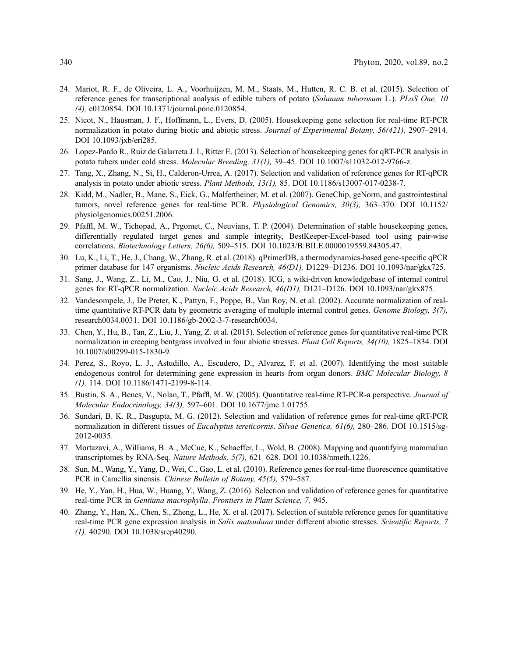- <span id="page-11-0"></span>24. Mariot, R. F., de Oliveira, L. A., Voorhuijzen, M. M., Staats, M., Hutten, R. C. B. et al. (2015). Selection of reference genes for transcriptional analysis of edible tubers of potato (Solanum tuberosum L.). PLoS One, 10 (4), e0120854. DOI [10.1371/journal.pone.0120854](http://dx.doi.org/10.1371/journal.pone.0120854).
- <span id="page-11-1"></span>25. Nicot, N., Hausman, J. F., Hoffmann, L., Evers, D. (2005). Housekeeping gene selection for real-time RT-PCR normalization in potato during biotic and abiotic stress. Journal of Experimental Botany, 56(421), 2907–2914. DOI [10.1093/jxb/eri285.](http://dx.doi.org/10.1093/jxb/eri285)
- <span id="page-11-2"></span>26. Lopez-Pardo R., Ruiz de Galarreta J. I., Ritter E. (2013). Selection of housekeeping genes for qRT-PCR analysis in potato tubers under cold stress. Molecular Breeding, 31(1), 39–45. DOI [10.1007/s11032-012-9766-z](http://dx.doi.org/10.1007/s11032-012-9766-z).
- <span id="page-11-3"></span>27. Tang, X., Zhang, N., Si, H., Calderon-Urrea, A. (2017). Selection and validation of reference genes for RT-qPCR analysis in potato under abiotic stress. Plant Methods, 13(1), 85. DOI [10.1186/s13007-017-0238-7.](http://dx.doi.org/10.1186/s13007-017-0238-7)
- <span id="page-11-4"></span>28. Kidd, M., Nadler, B., Mane, S., Eick, G., Malfertheiner, M. et al. (2007). GeneChip, geNorm, and gastrointestinal tumors, novel reference genes for real-time PCR. Physiological Genomics, 30(3), 363-370. DOI [10.1152/](http://dx.doi.org/10.1152/physiolgenomics.00251.2006) [physiolgenomics.00251.2006.](http://dx.doi.org/10.1152/physiolgenomics.00251.2006)
- <span id="page-11-5"></span>29. Pfaffl, M. W., Tichopad, A., Prgomet, C., Neuvians, T. P. (2004). Determination of stable housekeeping genes, differentially regulated target genes and sample integrity, BestKeeper-Excel-based tool using pair-wise correlations. Biotechnology Letters, 26(6), 509–515. DOI [10.1023/B:BILE.0000019559.84305.47](http://dx.doi.org/10.1023/B:BILE.0000019559.84305.47).
- <span id="page-11-6"></span>30. Lu, K., Li, T., He, J., Chang, W., Zhang, R. et al. (2018). qPrimerDB, a thermodynamics-based gene-specific qPCR primer database for 147 organisms. Nucleic Acids Research, 46(D1), D1229-D1236. DOI [10.1093/nar/gkx725.](http://dx.doi.org/10.1093/nar/gkx725)
- <span id="page-11-7"></span>31. Sang, J., Wang, Z., Li, M., Cao, J., Niu, G. et al. (2018). ICG, a wiki-driven knowledgebase of internal control genes for RT-qPCR normalization. Nucleic Acids Research, 46(D1), D121–D126. DOI [10.1093/nar/gkx875.](http://dx.doi.org/10.1093/nar/gkx875)
- <span id="page-11-8"></span>32. Vandesompele, J., De Preter, K., Pattyn, F., Poppe, B., Van Roy, N. et al. (2002). Accurate normalization of realtime quantitative RT-PCR data by geometric averaging of multiple internal control genes. Genome Biology, 3(7), research0034.0031. DOI [10.1186/gb-2002-3-7-research0034](http://dx.doi.org/10.1186/gb-2002-3-7-research0034).
- <span id="page-11-9"></span>33. Chen, Y., Hu, B., Tan, Z., Liu, J., Yang, Z. et al. (2015). Selection of reference genes for quantitative real-time PCR normalization in creeping bentgrass involved in four abiotic stresses. Plant Cell Reports, 34(10), 1825–1834. DOI [10.1007/s00299-015-1830-9.](http://dx.doi.org/10.1007/s00299-015-1830-9)
- <span id="page-11-10"></span>34. Perez, S., Royo, L. J., Astudillo, A., Escudero, D., Alvarez, F. et al. (2007). Identifying the most suitable endogenous control for determining gene expression in hearts from organ donors. BMC Molecular Biology, 8 (1), 114. DOI [10.1186/1471-2199-8-114](http://dx.doi.org/10.1186/1471-2199-8-114).
- <span id="page-11-11"></span>35. Bustin, S. A., Benes, V., Nolan, T., Pfaffl, M. W. (2005). Quantitative real-time RT-PCR-a perspective. Journal of Molecular Endocrinology, 34(3), 597–601. DOI [10.1677/jme.1.01755](http://dx.doi.org/10.1677/jme.1.01755).
- <span id="page-11-12"></span>36. Sundari, B. K. R., Dasgupta, M. G. (2012). Selection and validation of reference genes for real-time qRT-PCR normalization in different tissues of Eucalyptus tereticornis. Silvae Genetica, 61(6), 280-286. DOI [10.1515/sg-](http://dx.doi.org/10.1515/sg-2012-0035)[2012-0035.](http://dx.doi.org/10.1515/sg-2012-0035)
- <span id="page-11-13"></span>37. Mortazavi, A., Williams, B. A., McCue, K., Schaeffer, L., Wold, B. (2008). Mapping and quantifying mammalian transcriptomes by RNA-Seq. Nature Methods, 5(7), 621–628. DOI [10.1038/nmeth.1226](http://dx.doi.org/10.1038/nmeth.1226).
- <span id="page-11-14"></span>38. Sun, M., Wang, Y., Yang, D., Wei, C., Gao, L. et al. (2010). Reference genes for real-time fluorescence quantitative PCR in Camellia sinensis. Chinese Bulletin of Botany, 45(5), 579–587.
- <span id="page-11-15"></span>39. He, Y., Yan, H., Hua, W., Huang, Y., Wang, Z. (2016). Selection and validation of reference genes for quantitative real-time PCR in Gentiana macrophylla. Frontiers in Plant Science, 7, 945.
- <span id="page-11-16"></span>40. Zhang, Y., Han, X., Chen, S., Zheng, L., He, X. et al. (2017). Selection of suitable reference genes for quantitative real-time PCR gene expression analysis in Salix matsudana under different abiotic stresses. Scientific Reports, 7 (1), 40290. DOI [10.1038/srep40290.](http://dx.doi.org/10.1038/srep40290)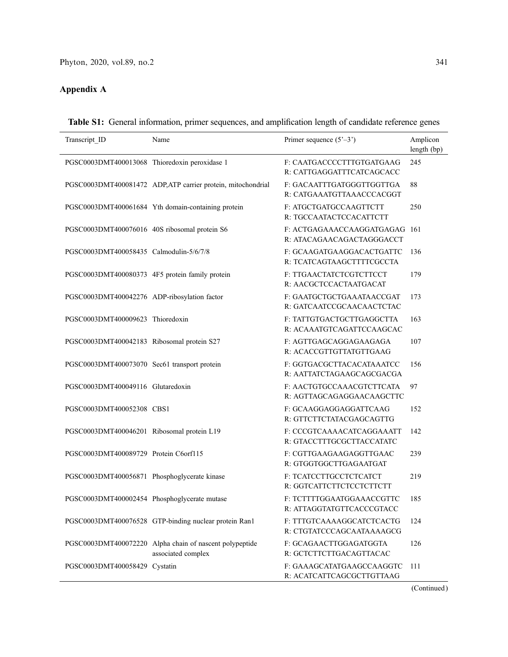# Appendix A

<span id="page-12-0"></span>

|  |  |  | Table S1: General information, primer sequences, and amplification length of candidate reference genes |  |  |  |
|--|--|--|--------------------------------------------------------------------------------------------------------|--|--|--|
|  |  |  |                                                                                                        |  |  |  |

| Transcript ID                                   | Name                                                                          | Primer sequence $(5^{\degree}-3^{\degree})$                | Amplicon<br>length (bp) |
|-------------------------------------------------|-------------------------------------------------------------------------------|------------------------------------------------------------|-------------------------|
| PGSC0003DMT400013068 Thioredoxin peroxidase 1   |                                                                               | F: CAATGACCCCTTTGTGATGAAG<br>R: CATTGAGGATTTCATCAGCACC     | 245                     |
|                                                 | PGSC0003DMT400081472 ADP,ATP carrier protein, mitochondrial                   | F: GACAATTTGATGGGTTGGTTGA<br>R: CATGAAATGTTAAACCCACGGT     | 88                      |
|                                                 | PGSC0003DMT400061684 Yth domain-containing protein                            | F: ATGCTGATGCCAAGTTCTT<br>R: TGCCAATACTCCACATTCTT          | 250                     |
| PGSC0003DMT400076016 40S ribosomal protein S6   |                                                                               | F: ACTGAGAAACCAAGGATGAGAG 161<br>R: ATACAGAACAGACTAGGGACCT |                         |
| PGSC0003DMT400058435 Calmodulin-5/6/7/8         |                                                                               | F: GCAAGATGAAGGACACTGATTC<br>R: TCATCAGTAAGCTTTTCGCCTA     | 136                     |
| PGSC0003DMT400080373 4F5 protein family protein |                                                                               | F: TTGAACTATCTCGTCTTCCT<br>R: AACGCTCCACTAATGACAT          | 179                     |
| PGSC0003DMT400042276 ADP-ribosylation factor    |                                                                               | F: GAATGCTGCTGAAATAACCGAT<br>R: GATCAATCCGCAACAACTCTAC     | 173                     |
| PGSC0003DMT400009623 Thioredoxin                |                                                                               | F: TATTGTGACTGCTTGAGGCTTA<br>R: ACAAATGTCAGATTCCAAGCAC     | 163                     |
| PGSC0003DMT400042183 Ribosomal protein S27      |                                                                               | F: AGTTGAGCAGGAGAAGAGA<br>R: ACACCGTTGTTATGTTGAAG          | 107                     |
| PGSC0003DMT400073070 Sec61 transport protein    |                                                                               | F: GGTGACGCTTACACATAAATCC<br>R: AATTATCTAGAAGCAGCGACGA     | 156                     |
| PGSC0003DMT400049116 Glutaredoxin               |                                                                               | F: AACTGTGCCAAACGTCTTCATA<br>R: AGTTAGCAGAGGAACAAGCTTC     | 97                      |
| PGSC0003DMT400052308 CBS1                       |                                                                               | F: GCAAGGAGGAGGATTCAAG<br>R: GTTCTTCTATACGAGCAGTTG         | 152                     |
| PGSC0003DMT400046201 Ribosomal protein L19      |                                                                               | F: CCCGTCAAAACATCAGGAAATT<br>R: GTACCTTTGCGCTTACCATATC     | 142                     |
| PGSC0003DMT400089729 Protein C6orf115           |                                                                               | F: CGTTGAAGAAGAGGTTGAAC<br>R: GTGGTGGCTTGAGAATGAT          | 239                     |
| PGSC0003DMT400056871 Phosphoglycerate kinase    |                                                                               | F: TCATCCTTGCCTCTCATCT<br>R: GGTCATTCTTCTCCTCTTCTT         | 219                     |
| PGSC0003DMT400002454 Phosphoglycerate mutase    |                                                                               | F: TCTTTTGGAATGGAAACCGTTC<br>R: ATTAGGTATGTTCACCCGTACC     | 185                     |
|                                                 | PGSC0003DMT400076528 GTP-binding nuclear protein Ran1                         | F: TTTGTCAAAAGGCATCTCACTG<br>R: CTGTATCCCAGCAATAAAAGCG     | 124                     |
|                                                 | PGSC0003DMT400072220 Alpha chain of nascent polypeptide<br>associated complex | F: GCAGAACTTGGAGATGGTA<br>R: GCTCTTCTTGACAGTTACAC          | 126                     |
| PGSC0003DMT400058429 Cystatin                   |                                                                               | F: GAAAGCATATGAAGCCAAGGTC<br>R: ACATCATTCAGCGCTTGTTAAG     | 111                     |

(Continued )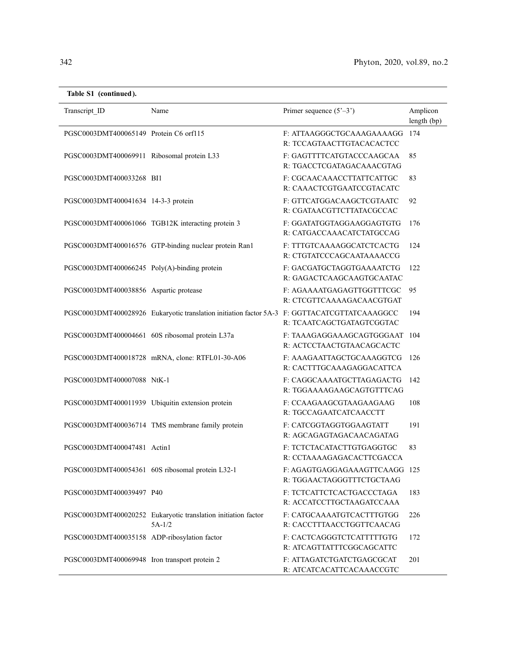|  |  | Table S1 (continued). |  |
|--|--|-----------------------|--|
|--|--|-----------------------|--|

| Transcript_ID                                 | Name                                                                                         | Primer sequence $(5^{\circ}-3^{\circ})$                    | Amplicon<br>length (bp) |
|-----------------------------------------------|----------------------------------------------------------------------------------------------|------------------------------------------------------------|-------------------------|
| PGSC0003DMT400065149 Protein C6 orf115        |                                                                                              | F: ATTAAGGGCTGCAAAGAAAAGG<br>R: TCCAGTAACTTGTACACACTCC     | 174                     |
| PGSC0003DMT400069911 Ribosomal protein L33    |                                                                                              | F: GAGTTTTCATGTACCCAAGCAA<br>R: TGACCTCGATAGACAAACGTAG     | 85                      |
| PGSC0003DMT400033268 BI1                      |                                                                                              | F: CGCAACAAACCTTATTCATTGC<br>R: CAAACTCGTGAATCCGTACATC     | 83                      |
| PGSC0003DMT400041634 14-3-3 protein           |                                                                                              | F: GTTCATGGACAAGCTCGTAATC<br>R: CGATAACGTTCTTATACGCCAC     | 92                      |
|                                               | PGSC0003DMT400061066 TGB12K interacting protein 3                                            | F: GGATATGGTAGGAAGGAGTGTG<br>R: CATGACCAAACATCTATGCCAG     | 176                     |
|                                               | PGSC0003DMT400016576 GTP-binding nuclear protein Ran1                                        | F: TTTGTCAAAAGGCATCTCACTG<br>R: CTGTATCCCAGCAATAAAACCG     | 124                     |
| PGSC0003DMT400066245 Poly(A)-binding protein  |                                                                                              | F: GACGATGCTAGGTGAAAATCTG<br>R: GAGACTCAAGCAAGTGCAATAC     | 122                     |
| PGSC0003DMT400038856 Aspartic protease        |                                                                                              | F: AGAAAATGAGAGTTGGTTTCGC<br>R: CTCGTTCAAAAGACAACGTGAT     | 95                      |
|                                               | PGSC0003DMT400028926 Eukaryotic translation initiation factor 5A-3 F: GGTTACATCGTTATCAAAGGCC | R: TCAATCAGCTGATAGTCGGTAC                                  | 194                     |
|                                               | PGSC0003DMT400004661 60S ribosomal protein L37a                                              | F: TAAAGAGGAAAGCAGTGGGAAT 104<br>R: ACTCCTAACTGTAACAGCACTC |                         |
|                                               | PGSC0003DMT400018728 mRNA, clone: RTFL01-30-A06                                              | F: AAAGAATTAGCTGCAAAGGTCG<br>R: CACTTTGCAAAGAGGACATTCA     | 126                     |
| PGSC0003DMT400007088 NtK-1                    |                                                                                              | F: CAGGCAAAATGCTTAGAGACTG<br>R: TGGAAAAGAAGCAGTGTTTCAG     | 142                     |
|                                               | PGSC0003DMT400011939 Ubiquitin extension protein                                             | F: CCAAGAAGCGTAAGAAGAAG<br>R: TGCCAGAATCATCAACCTT          | 108                     |
|                                               | PGSC0003DMT400036714 TMS membrane family protein                                             | F: CATCGGTAGGTGGAAGTATT<br>R: AGCAGAGTAGACAACAGATAG        | 191                     |
| PGSC0003DMT400047481 Actin1                   |                                                                                              | F: TCTCTACATACTTGTGAGGTGC<br>R: CCTAAAAGAGACACTTCGACCA     | 83                      |
|                                               | PGSC0003DMT400054361 60S ribosomal protein L32-1                                             | F: AGAGTGAGGAGAAAGTTCAAGG 125<br>R: TGGAACTAGGGTTTCTGCTAAG |                         |
| PGSC0003DMT400039497 P40                      |                                                                                              | F: TCTCATTCTCACTGACCCTAGA<br>R: ACCATCCTTGCTAAGATCCAAA     | 183                     |
|                                               | PGSC0003DMT400020252 Eukaryotic translation initiation factor<br>$5A-1/2$                    | F: CATGCAAAATGTCACTTTGTGG<br>R: CACCTTTAACCTGGTTCAACAG     | 226                     |
| PGSC0003DMT400035158 ADP-ribosylation factor  |                                                                                              | F: CACTCAGGGTCTCATTTTTGTG<br>R: ATCAGTTATTTCGGCAGCATTC     | 172                     |
| PGSC0003DMT400069948 Iron transport protein 2 |                                                                                              | F: ATTAGATCTGATCTGAGCGCAT<br>R: ATCATCACATTCACAAACCGTC     | 201                     |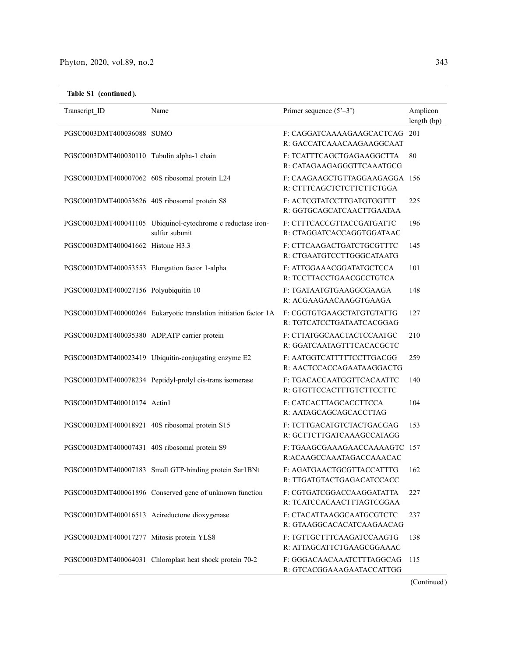|  | Table S1 (continued). |
|--|-----------------------|
|--|-----------------------|

| Transcript ID                                  | Name                                                                          | Primer sequence $(5^{\prime}-3^{\prime})$                  | Amplicon<br>length (bp) |
|------------------------------------------------|-------------------------------------------------------------------------------|------------------------------------------------------------|-------------------------|
| PGSC0003DMT400036088 SUMO                      |                                                                               | F: CAGGATCAAAAGAAGCACTCAG 201<br>R: GACCATCAAACAAGAAGGCAAT |                         |
| PGSC0003DMT400030110 Tubulin alpha-1 chain     |                                                                               | F: TCATTTCAGCTGAGAAGGCTTA<br>R: CATAGAAGAGGGTTCAAATGCG     | 80                      |
| PGSC0003DMT400007062 60S ribosomal protein L24 |                                                                               | F: CAAGAAGCTGTTAGGAAGAGGA 156<br>R: CTTTCAGCTCTCTTCTTCTGGA |                         |
| PGSC0003DMT400053626 40S ribosomal protein S8  |                                                                               | F: ACTCGTATCCTTGATGTGGTTT<br>R: GGTGCAGCATCAACTTGAATAA     | 225                     |
|                                                | PGSC0003DMT400041105 Ubiquinol-cytochrome c reductase iron-<br>sulfur subunit | F: CTTTCACCGTTACCGATGATTC<br>R: CTAGGATCACCAGGTGGATAAC     | 196                     |
| PGSC0003DMT400041662 Histone H3.3              |                                                                               | F: CTTCAAGACTGATCTGCGTTTC<br>R: CTGAATGTCCTTGGGCATAATG     | 145                     |
| PGSC0003DMT400053553 Elongation factor 1-alpha |                                                                               | F: ATTGGAAACGGATATGCTCCA<br>R: TCCTTACCTGAACGCCTGTCA       | 101                     |
| PGSC0003DMT400027156 Polyubiquitin 10          |                                                                               | F: TGATAATGTGAAGGCGAAGA<br>R: ACGAAGAACAAGGTGAAGA          | 148                     |
|                                                | PGSC0003DMT400000264 Eukaryotic translation initiation factor 1A              | F: CGGTGTGAAGCTATGTGTATTG<br>R: TGTCATCCTGATAATCACGGAG     | 127                     |
| PGSC0003DMT400035380 ADP,ATP carrier protein   |                                                                               | F: CTTATGGCAACTACTCCAATGC<br>R: GGATCAATAGTTTCACACGCTC     | 210                     |
|                                                | PGSC0003DMT400023419 Ubiquitin-conjugating enzyme E2                          | F: AATGGTCATTTTTCCTTGACGG<br>R: AACTCCACCAGAATAAGGACTG     | 259                     |
|                                                | PGSC0003DMT400078234 Peptidyl-prolyl cis-trans isomerase                      | F: TGACACCAATGGTTCACAATTC<br>R: GTGTTCCACTTTGTCTTCCTTC     | 140                     |
| PGSC0003DMT400010174 Actin1                    |                                                                               | F: CATCACTTAGCACCTTCCA<br>R: AATAGCAGCAGCACCTTAG           | 104                     |
| PGSC0003DMT400018921 40S ribosomal protein S15 |                                                                               | F: TCTTGACATGTCTACTGACGAG<br>R: GCTTCTTGATCAAAGCCATAGG     | 153                     |
| PGSC0003DMT400007431 40S ribosomal protein S9  |                                                                               | F: TGAAGCGAAAGAACCAAAAGTC 157<br>R:ACAAGCCAAATAGACCAAACAC  |                         |
|                                                | PGSC0003DMT400007183 Small GTP-binding protein Sar1BNt                        | F: AGATGAACTGCGTTACCATTTG 162<br>R: TTGATGTACTGAGACATCCACC |                         |
|                                                | PGSC0003DMT400061896 Conserved gene of unknown function                       | F: CGTGATCGGACCAAGGATATTA<br>R: TCATCCACAACTTTAGTCGGAA     | 227                     |
| PGSC0003DMT400016513 Acireductone dioxygenase  |                                                                               | F: CTACATTAAGGCAATGCGTCTC<br>R: GTAAGGCACACATCAAGAACAG     | 237                     |
| PGSC0003DMT400017277 Mitosis protein YLS8      |                                                                               | F: TGTTGCTTTCAAGATCCAAGTG<br>R: ATTAGCATTCTGAAGCGGAAAC     | 138                     |
|                                                | PGSC0003DMT400064031 Chloroplast heat shock protein 70-2                      | F: GGGACAACAAATCTTTAGGCAG<br>R: GTCACGGAAAGAATACCATTGG     | 115                     |

(Continued)